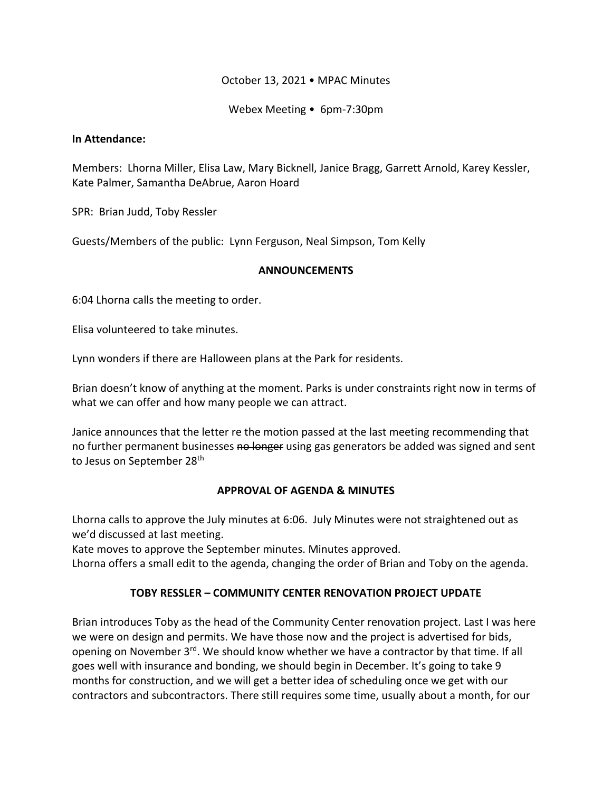### October 13, 2021 • MPAC Minutes

Webex Meeting • 6pm-7:30pm

#### **In Attendance:**

Members: Lhorna Miller, Elisa Law, Mary Bicknell, Janice Bragg, Garrett Arnold, Karey Kessler, Kate Palmer, Samantha DeAbrue, Aaron Hoard

SPR: Brian Judd, Toby Ressler

Guests/Members of the public: Lynn Ferguson, Neal Simpson, Tom Kelly

#### **ANNOUNCEMENTS**

6:04 Lhorna calls the meeting to order.

Elisa volunteered to take minutes.

Lynn wonders if there are Halloween plans at the Park for residents.

Brian doesn't know of anything at the moment. Parks is under constraints right now in terms of what we can offer and how many people we can attract.

Janice announces that the letter re the motion passed at the last meeting recommending that no further permanent businesses no longer using gas generators be added was signed and sent to Jesus on September 28<sup>th</sup>

### **APPROVAL OF AGENDA & MINUTES**

Lhorna calls to approve the July minutes at 6:06. July Minutes were not straightened out as we'd discussed at last meeting.

Kate moves to approve the September minutes. Minutes approved.

Lhorna offers a small edit to the agenda, changing the order of Brian and Toby on the agenda.

# **TOBY RESSLER – COMMUNITY CENTER RENOVATION PROJECT UPDATE**

Brian introduces Toby as the head of the Community Center renovation project. Last I was here we were on design and permits. We have those now and the project is advertised for bids, opening on November 3rd. We should know whether we have a contractor by that time. If all goes well with insurance and bonding, we should begin in December. It's going to take 9 months for construction, and we will get a better idea of scheduling once we get with our contractors and subcontractors. There still requires some time, usually about a month, for our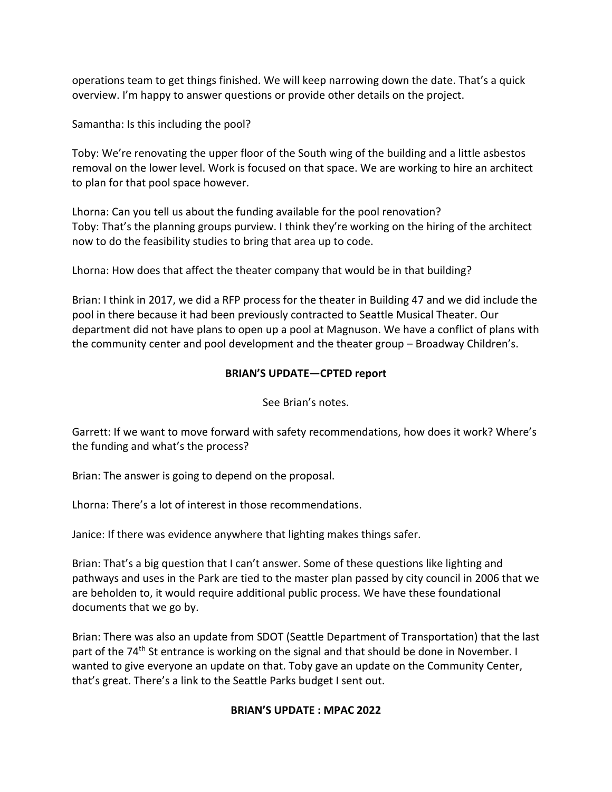operations team to get things finished. We will keep narrowing down the date. That's a quick overview. I'm happy to answer questions or provide other details on the project.

Samantha: Is this including the pool?

Toby: We're renovating the upper floor of the South wing of the building and a little asbestos removal on the lower level. Work is focused on that space. We are working to hire an architect to plan for that pool space however.

Lhorna: Can you tell us about the funding available for the pool renovation? Toby: That's the planning groups purview. I think they're working on the hiring of the architect now to do the feasibility studies to bring that area up to code.

Lhorna: How does that affect the theater company that would be in that building?

Brian: I think in 2017, we did a RFP process for the theater in Building 47 and we did include the pool in there because it had been previously contracted to Seattle Musical Theater. Our department did not have plans to open up a pool at Magnuson. We have a conflict of plans with the community center and pool development and the theater group – Broadway Children's.

### **BRIAN'S UPDATE—CPTED report**

See Brian's notes.

Garrett: If we want to move forward with safety recommendations, how does it work? Where's the funding and what's the process?

Brian: The answer is going to depend on the proposal.

Lhorna: There's a lot of interest in those recommendations.

Janice: If there was evidence anywhere that lighting makes things safer.

Brian: That's a big question that I can't answer. Some of these questions like lighting and pathways and uses in the Park are tied to the master plan passed by city council in 2006 that we are beholden to, it would require additional public process. We have these foundational documents that we go by.

Brian: There was also an update from SDOT (Seattle Department of Transportation) that the last part of the 74<sup>th</sup> St entrance is working on the signal and that should be done in November. I wanted to give everyone an update on that. Toby gave an update on the Community Center, that's great. There's a link to the Seattle Parks budget I sent out.

### **BRIAN'S UPDATE : MPAC 2022**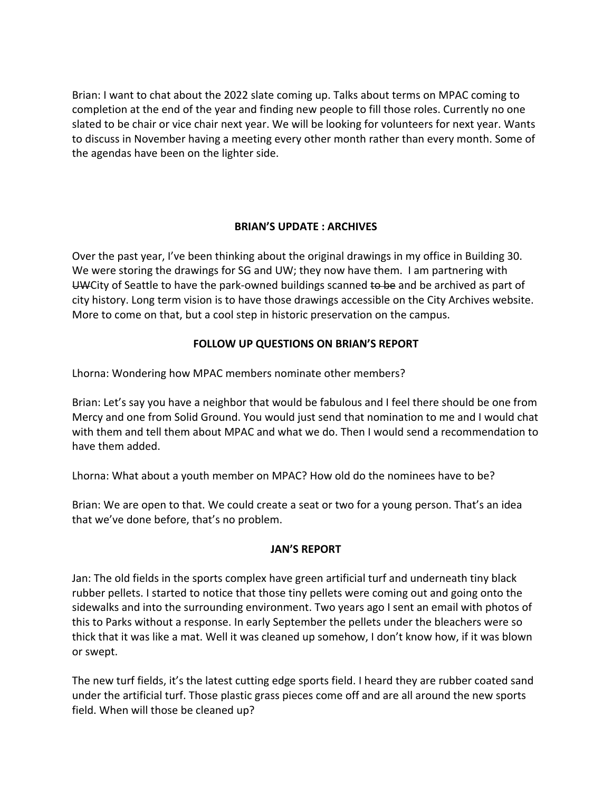Brian: I want to chat about the 2022 slate coming up. Talks about terms on MPAC coming to completion at the end of the year and finding new people to fill those roles. Currently no one slated to be chair or vice chair next year. We will be looking for volunteers for next year. Wants to discuss in November having a meeting every other month rather than every month. Some of the agendas have been on the lighter side.

### **BRIAN'S UPDATE : ARCHIVES**

Over the past year, I've been thinking about the original drawings in my office in Building 30. We were storing the drawings for SG and UW; they now have them. I am partnering with UWCity of Seattle to have the park-owned buildings scanned to be and be archived as part of city history. Long term vision is to have those drawings accessible on the City Archives website. More to come on that, but a cool step in historic preservation on the campus.

# **FOLLOW UP QUESTIONS ON BRIAN'S REPORT**

Lhorna: Wondering how MPAC members nominate other members?

Brian: Let's say you have a neighbor that would be fabulous and I feel there should be one from Mercy and one from Solid Ground. You would just send that nomination to me and I would chat with them and tell them about MPAC and what we do. Then I would send a recommendation to have them added.

Lhorna: What about a youth member on MPAC? How old do the nominees have to be?

Brian: We are open to that. We could create a seat or two for a young person. That's an idea that we've done before, that's no problem.

### **JAN'S REPORT**

Jan: The old fields in the sports complex have green artificial turf and underneath tiny black rubber pellets. I started to notice that those tiny pellets were coming out and going onto the sidewalks and into the surrounding environment. Two years ago I sent an email with photos of this to Parks without a response. In early September the pellets under the bleachers were so thick that it was like a mat. Well it was cleaned up somehow, I don't know how, if it was blown or swept.

The new turf fields, it's the latest cutting edge sports field. I heard they are rubber coated sand under the artificial turf. Those plastic grass pieces come off and are all around the new sports field. When will those be cleaned up?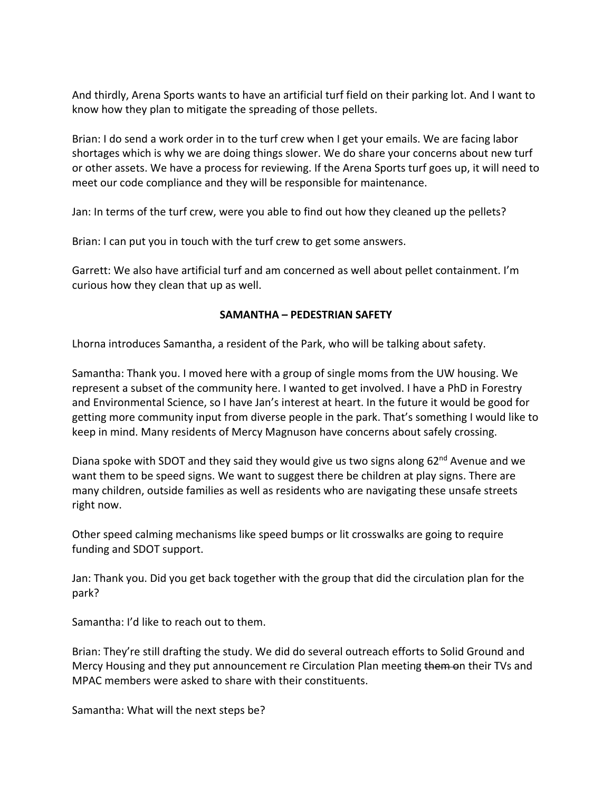And thirdly, Arena Sports wants to have an artificial turf field on their parking lot. And I want to know how they plan to mitigate the spreading of those pellets.

Brian: I do send a work order in to the turf crew when I get your emails. We are facing labor shortages which is why we are doing things slower. We do share your concerns about new turf or other assets. We have a process for reviewing. If the Arena Sports turf goes up, it will need to meet our code compliance and they will be responsible for maintenance.

Jan: In terms of the turf crew, were you able to find out how they cleaned up the pellets?

Brian: I can put you in touch with the turf crew to get some answers.

Garrett: We also have artificial turf and am concerned as well about pellet containment. I'm curious how they clean that up as well.

### **SAMANTHA – PEDESTRIAN SAFETY**

Lhorna introduces Samantha, a resident of the Park, who will be talking about safety.

Samantha: Thank you. I moved here with a group of single moms from the UW housing. We represent a subset of the community here. I wanted to get involved. I have a PhD in Forestry and Environmental Science, so I have Jan's interest at heart. In the future it would be good for getting more community input from diverse people in the park. That's something I would like to keep in mind. Many residents of Mercy Magnuson have concerns about safely crossing.

Diana spoke with SDOT and they said they would give us two signs along  $62<sup>nd</sup>$  Avenue and we want them to be speed signs. We want to suggest there be children at play signs. There are many children, outside families as well as residents who are navigating these unsafe streets right now.

Other speed calming mechanisms like speed bumps or lit crosswalks are going to require funding and SDOT support.

Jan: Thank you. Did you get back together with the group that did the circulation plan for the park?

Samantha: I'd like to reach out to them.

Brian: They're still drafting the study. We did do several outreach efforts to Solid Ground and Mercy Housing and they put announcement re Circulation Plan meeting them on their TVs and MPAC members were asked to share with their constituents.

Samantha: What will the next steps be?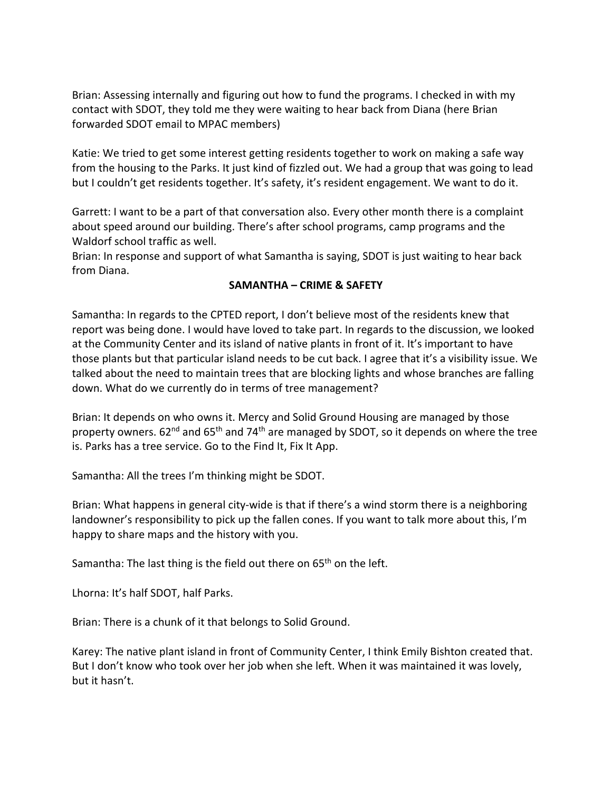Brian: Assessing internally and figuring out how to fund the programs. I checked in with my contact with SDOT, they told me they were waiting to hear back from Diana (here Brian forwarded SDOT email to MPAC members)

Katie: We tried to get some interest getting residents together to work on making a safe way from the housing to the Parks. It just kind of fizzled out. We had a group that was going to lead but I couldn't get residents together. It's safety, it's resident engagement. We want to do it.

Garrett: I want to be a part of that conversation also. Every other month there is a complaint about speed around our building. There's after school programs, camp programs and the Waldorf school traffic as well.

Brian: In response and support of what Samantha is saying, SDOT is just waiting to hear back from Diana.

### **SAMANTHA – CRIME & SAFETY**

Samantha: In regards to the CPTED report, I don't believe most of the residents knew that report was being done. I would have loved to take part. In regards to the discussion, we looked at the Community Center and its island of native plants in front of it. It's important to have those plants but that particular island needs to be cut back. I agree that it's a visibility issue. We talked about the need to maintain trees that are blocking lights and whose branches are falling down. What do we currently do in terms of tree management?

Brian: It depends on who owns it. Mercy and Solid Ground Housing are managed by those property owners. 62<sup>nd</sup> and 65<sup>th</sup> and 74<sup>th</sup> are managed by SDOT, so it depends on where the tree is. Parks has a tree service. Go to the Find It, Fix It App.

Samantha: All the trees I'm thinking might be SDOT.

Brian: What happens in general city-wide is that if there's a wind storm there is a neighboring landowner's responsibility to pick up the fallen cones. If you want to talk more about this, I'm happy to share maps and the history with you.

Samantha: The last thing is the field out there on  $65<sup>th</sup>$  on the left.

Lhorna: It's half SDOT, half Parks.

Brian: There is a chunk of it that belongs to Solid Ground.

Karey: The native plant island in front of Community Center, I think Emily Bishton created that. But I don't know who took over her job when she left. When it was maintained it was lovely, but it hasn't.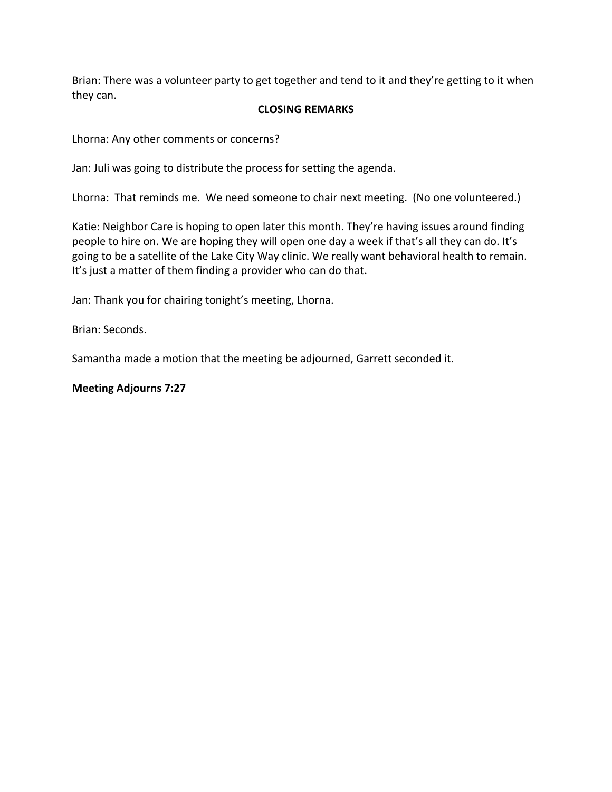Brian: There was a volunteer party to get together and tend to it and they're getting to it when they can.

### **CLOSING REMARKS**

Lhorna: Any other comments or concerns?

Jan: Juli was going to distribute the process for setting the agenda.

Lhorna: That reminds me. We need someone to chair next meeting. (No one volunteered.)

Katie: Neighbor Care is hoping to open later this month. They're having issues around finding people to hire on. We are hoping they will open one day a week if that's all they can do. It's going to be a satellite of the Lake City Way clinic. We really want behavioral health to remain. It's just a matter of them finding a provider who can do that.

Jan: Thank you for chairing tonight's meeting, Lhorna.

Brian: Seconds.

Samantha made a motion that the meeting be adjourned, Garrett seconded it.

### **Meeting Adjourns 7:27**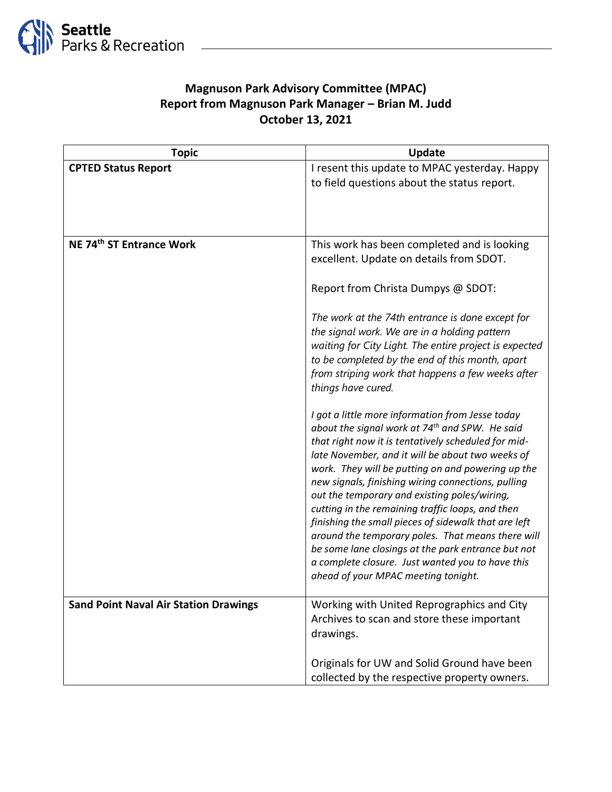

# **Magnuson Park Advisory Committee (MPAC) Report from Magnuson Park Manager – Brian M. Judd October 13, 2021**

| <b>Topic</b>                                 | <b>Update</b>                                                                                                     |
|----------------------------------------------|-------------------------------------------------------------------------------------------------------------------|
| <b>CPTED Status Report</b>                   | I resent this update to MPAC yesterday. Happy                                                                     |
|                                              | to field questions about the status report.                                                                       |
|                                              |                                                                                                                   |
|                                              |                                                                                                                   |
| NE 74 <sup>th</sup> ST Entrance Work         | This work has been completed and is looking                                                                       |
|                                              | excellent. Update on details from SDOT.                                                                           |
|                                              |                                                                                                                   |
|                                              | Report from Christa Dumpys @ SDOT:                                                                                |
|                                              | The work at the 74th entrance is done except for                                                                  |
|                                              | the signal work. We are in a holding pattern                                                                      |
|                                              | waiting for City Light. The entire project is expected                                                            |
|                                              | to be completed by the end of this month, apart                                                                   |
|                                              | from striping work that happens a few weeks after<br>things have cured.                                           |
|                                              |                                                                                                                   |
|                                              | I got a little more information from Jesse today                                                                  |
|                                              | about the signal work at 74 <sup>th</sup> and SPW. He said<br>that right now it is tentatively scheduled for mid- |
|                                              | late November, and it will be about two weeks of                                                                  |
|                                              | work. They will be putting on and powering up the                                                                 |
|                                              | new signals, finishing wiring connections, pulling                                                                |
|                                              | out the temporary and existing poles/wiring,<br>cutting in the remaining traffic loops, and then                  |
|                                              | finishing the small pieces of sidewalk that are left                                                              |
|                                              | around the temporary poles. That means there will                                                                 |
|                                              | be some lane closings at the park entrance but not<br>a complete closure. Just wanted you to have this            |
|                                              | ahead of your MPAC meeting tonight.                                                                               |
|                                              |                                                                                                                   |
| <b>Sand Point Naval Air Station Drawings</b> | Working with United Reprographics and City                                                                        |
|                                              | Archives to scan and store these important<br>drawings.                                                           |
|                                              |                                                                                                                   |
|                                              | Originals for UW and Solid Ground have been                                                                       |
|                                              | collected by the respective property owners.                                                                      |